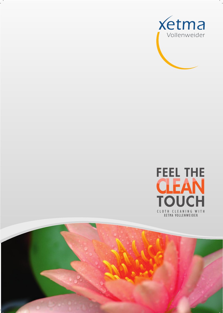



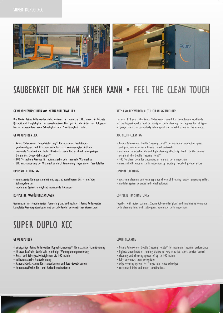

## SAUBERKEIT DIE MAN SEHEN KANN • FEEL THE CLEAN TOUCH

### GEWEBEPUTZMASCHINEN VON XETMA VOLLENWEIDER

Die Marke Xetma Vollenweider steht weltweit seit mehr als 120 Jahren für höchste Qualität und Langlebigkeit im Gewebeputzen. Dies gilt für alle Arten von Rohgeweben – insbesondere wenn Schnelligkeit und Zuverlässigkeit zählen.

### GEWEBEPUTZEN XCC

- Xetma Vollenweider Doppel-Scherzeug® für maximale Produktionsgeschwindigkeit und Präzision auch bei stark verunreinigten Artikeln
- maximale Standzeit und hohe Effektivität beim Putzen durch einzigartiges Design des Doppel-Scherzeuges®
- 100 % saubere Gewebe für automatische oder manuelle Warenschau
- Effizienz-Steigerung der Warenschau durch Vermeidung sogenannter Pseudofehler

### OPTIMALE REINIGUNG

- vorgelagerte Reinigungseinheit mit separat zustellbaren Bürst- und/oder Schmirgelwalzen
- modulares System ermöglicht individuelle Lösungen

### KOMPLETTE AUSRÜSTUNGSANLAGEN

Gemeinsam mit renommierten Partnern plant and realisiert Xetma Vollenweider komplette Gewebeputzanlagen mit anschließender automatischer Warenschau.

## SUPER DUPLO XCC

### GEWEBEPUTZEN

- einzigartige Xetma Vollenweider Doppel-Scherzeuge® für maximale Schnittleistung
- höchste Laufruhe durch sehr feinfühlige Warenspannungssteuerung
- Putz- und Schergeschwindigkeiten bis 100 m/min
- vollautomatische Nahterkennung
- Kantenabdecksysteme für Fransenkanten und lose Gewebekanten
- kundenspezifische Ein- und Auslaufkombinationen

### XETMA VOLLENWEIDER CLOTH CLEANING MACHINES

For over 120 years, the Xetma Vollenweider brand has been known worldwide for the highest quality and durability in cloth cleaning. This applies for all types of greige fabrics – particularly when speed and reliability are of the essence.

### XCC CLOTH CLEANING

- Xetma Vollenweider Double Shearing Head® for maximum production speed and precision, even with heavily soiled materials
- maximum serviceable life and high cleaning effectivity thanks to the unique design of the Double Shearing Head®
- 100 % clean cloth for automatic or manual cloth inspection
- increased efficiency in cloth inspection by avoiding so-called pseudo errors

### OPTIMAL CLEANING

- upstream cleaning unit with separate choice of brushing and/or emerizing rollers
- modular system provides individual solutions

## COMPLETE FINISHING LINES

Together with noted partners, Xetma Vollenweider plans and implements complete cloth cleaning lines with subsequent automatic cloth inspection.

#### CLOTH CLEANING

- Xetma Vollenweider Double Shearing Heads® for maximum shearing performance
- highest smoothness of running thanks to very sensitive fabric tension control
- cleaning and shearing speeds of up to 100 m/min
- fully automatic seam recognition
- edge covering system for fringed and loose selvedges
- customized inlet and outlet combinations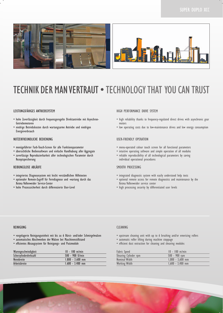

## TECHNIK DER MAN VERTRAUT • TECHNOLOGY THAT YOU CAN TRUST

## LEISTUNGSFÄHIGES ANTRIEBSSYSTEM

- hohe Zuverlässigkeit durch frequenzgeregelte Direktantriebe mit Asynchron-Getriebemotoren
- niedrige Betriebskosten durch wartungsarme Antriebe und niedrigen Energieverbrauch

### NUTZERFREUNDLICHE BEDIENUNG

- menügeführter Farb-Touch-Screen für alle Funktionsparameter
- übersichtliche Bediensoftware und einfache Handhabung aller Aggregate
- zuverlässige Reproduzierbarkeit aller technologischen Parameter durch Rezeptspeicherung

## REIBUNGSLOSE ABLÄUFE

- integriertes Diagnosesystem mit leicht verständlichen Hilfetexten
- optionaler Remote-Zugriff für Ferndiagnose und -wartung durch das Xetma Vollenweider Service-Center
- hohe Prozesssicherheit durch differenzierte User-Level

### HIGH PERFORMANCE DRIVE SYSTEM

- high reliability thanks to frequency-regulated direct drives with asynchronic gear motors
- low operating costs due to low-maintenance drives and low energy consumption

### USER-FRIENDLY OPERATION

- menu-operated colour touch screen for all functional parameters
- intuitive operating software and simple operation of all modules
- reliable reproducibility of all technological parameters by saving individual operational procedures

## SMOOTH PROCESSING

- integrated diagnostic system with easily understood help texts
- optional remote access for remote diagnostics and maintenance by the Xetma Vollenweider service center
- high processing security by differentiated user levels

#### REINIGUNG

- vorgelagerte Reinigungseinheit mit bis zu 6 Bürst- und/oder Schmirgelwalzen
- automatisches Abschwenken der Walzen bei Maschinenstillstand
- effizientes Absaugsystem für Reinigungs- und Putzmodule

| Warengeschwindigkeit  | $10 - 100$ m/min   |
|-----------------------|--------------------|
| Scherzylinderdrehzahl | $500 - 900$ U/min  |
| <b>Nennbreite</b>     | $1.800 - 3.600$ mm |
| Arbeitsbreite         | $1.600 - 3.400$ mm |

### CLEANING

- upstream cleaning unit with up to 6 brushing and/or emerizing rollers
- automatic roller lifting during machine stoppage
- efficient dust extraction for cleaning and shearing modules

| <b>Fabric Speed</b>   | $10 - 100$ m/min   |
|-----------------------|--------------------|
| Shearing Cylinder rpm | $500 - 900$ rpm    |
| Nominal Width         | $1.800 - 3.600$ mm |
| Working Width         | $1.600 - 3.400$ mm |